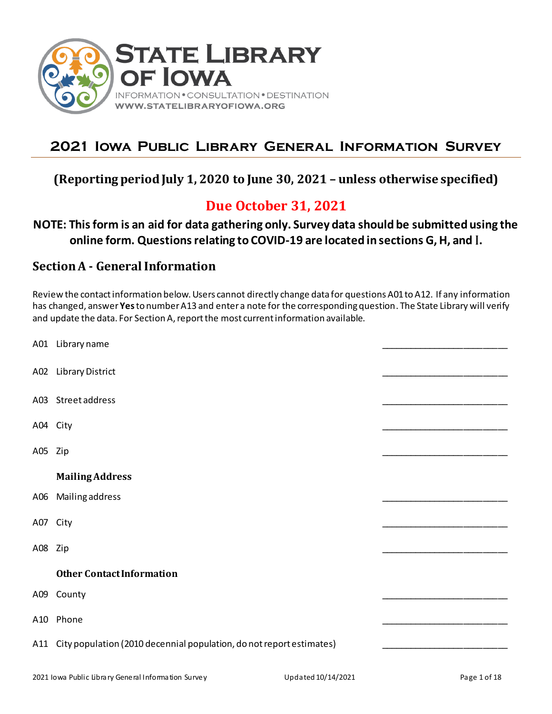

# **2021 Iowa Public Library General Information Survey**

## **(Reporting period July 1, 2020 to June 30, 2021 – unless otherwise specified)**

# **Due October 31, 2021**

## **NOTE: This form is an aid for data gathering only. Survey data should be submitted using the online form. Questions relating to COVID-19 are located in sections G, H, and** I**.**

## **Section A - General Information**

Review the contact information below. Users cannot directly change data for questions A01 to A12. If any information has changed, answer **Yes**to number A13 and enter a note for the corresponding question. The State Library will verify and update the data. For Section A, report the most current information available.

|          | A01 Library name                                                         |  |
|----------|--------------------------------------------------------------------------|--|
|          | A02 Library District                                                     |  |
|          | A03 Street address                                                       |  |
| A04 City |                                                                          |  |
| A05 Zip  |                                                                          |  |
|          | <b>Mailing Address</b>                                                   |  |
|          | A06 Mailing address                                                      |  |
| A07 City |                                                                          |  |
| A08 Zip  |                                                                          |  |
|          | <b>Other Contact Information</b>                                         |  |
|          | A09 County                                                               |  |
|          | A10 Phone                                                                |  |
|          | A11 City population (2010 decennial population, do not report estimates) |  |
|          |                                                                          |  |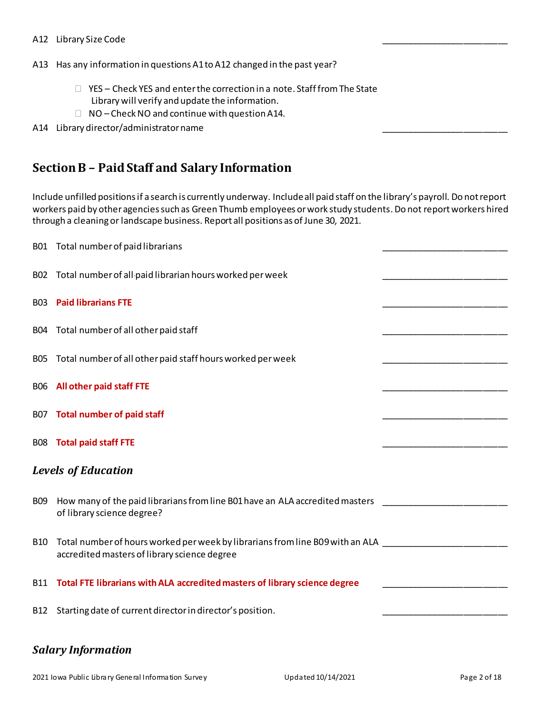### A12 Library Size Code

A13 Has any information in questions A1 to A12 changed in the past year?

- □ YES Check YES and enter the correction in a note. Staff from The State Library will verify and update the information.
- $\Box$  NO Check NO and continue with question A14.

### A14 Library director/administrator name

## **Section B – Paid Staff and Salary Information**

Include unfilled positions if a search is currently underway. Include all paid staff on the library's payroll. Do not report workers paid by other agencies such as Green Thumb employees or work study students.Do not report workers hired through a cleaning or landscape business. Report all positions as of June 30, 2021.

|                 | B01 Total number of paid librarians                                                                                                                 |  |
|-----------------|-----------------------------------------------------------------------------------------------------------------------------------------------------|--|
|                 | B02 Total number of all paid librarian hours worked per week                                                                                        |  |
|                 | <b>B03</b> Paid librarians FTE                                                                                                                      |  |
| <b>B04</b>      | Total number of all other paid staff                                                                                                                |  |
| <b>BO5</b>      | Total number of all other paid staff hours worked per week                                                                                          |  |
|                 | <b>B06</b> All other paid staff FTE                                                                                                                 |  |
|                 | B07 Total number of paid staff                                                                                                                      |  |
| <b>B08</b>      | <b>Total paid staff FTE</b>                                                                                                                         |  |
|                 | <b>Levels of Education</b>                                                                                                                          |  |
| <b>B09</b>      | How many of the paid librarians from line B01 have an ALA accredited masters<br>of library science degree?                                          |  |
| <b>B10</b>      | Total number of hours worked per week by librarians from line B09 with an ALA _____________________<br>accredited masters of library science degree |  |
| <b>B11</b>      | Total FTE librarians with ALA accredited masters of library science degree                                                                          |  |
| B <sub>12</sub> | Starting date of current director in director's position.                                                                                           |  |
|                 |                                                                                                                                                     |  |

### *Salary Information*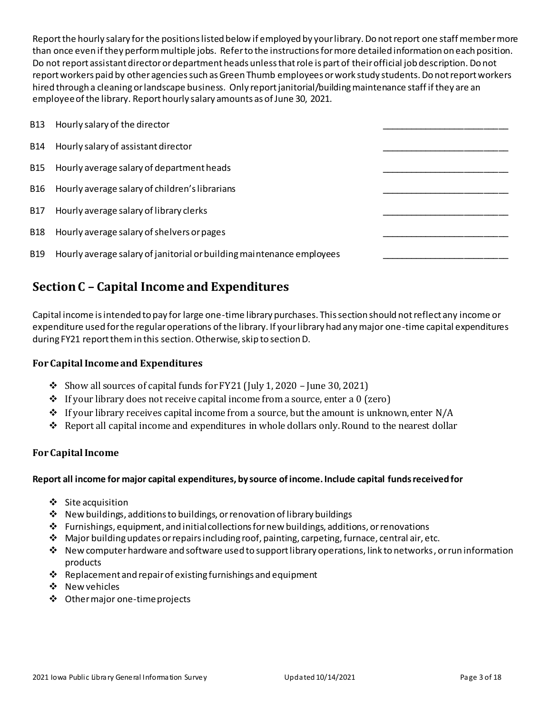Report the hourly salary for the positions listed below if employed by your library. Do not report one staff member more than once even if they perform multiple jobs. Refer to the instructions for more detailed information on each position. Do not report assistant director or department heads unless that role is part of their official job description. Do not report workers paid by other agencies such as Green Thumb employees or work study students. Do not report workers hired through a cleaning or landscape business. Only report janitorial/building maintenance staff if they are an employee of the library. Report hourly salary amounts as of June 30, 2021.

| <b>B13</b> | Hourly salary of the director                                         |  |
|------------|-----------------------------------------------------------------------|--|
| B14        | Hourly salary of assistant director                                   |  |
| <b>B15</b> | Hourly average salary of department heads                             |  |
| B16        | Hourly average salary of children's librarians                        |  |
| B17        | Hourly average salary of library clerks                               |  |
| <b>B18</b> | Hourly average salary of shelvers or pages                            |  |
| <b>B19</b> | Hourly average salary of janitorial or building maintenance employees |  |

# **Section C – Capital Income and Expenditures**

Capital income is intended to pay for large one-time library purchases. This section should not reflect any income or expenditure used for the regular operations of the library. If your library had any major one-time capital expenditures during FY21 report them in this section. Otherwise, skip to section D.

### **For Capital Income and Expenditures**

- $\cdot$  Show all sources of capital funds for FY21 (July 1, 2020 June 30, 2021)
- ◆ If your library does not receive capital income from a source, enter a 0 (zero)
- $\div$  If your library receives capital income from a source, but the amount is unknown, enter N/A
- ❖ Report all capital income and expenditures in whole dollars only. Round to the nearest dollar

### **For Capital Income**

### **Report all income for major capital expenditures, by source of income. Include capital funds received for**

- ❖ Site acquisition
- ❖ New buildings, additions to buildings, or renovation of library buildings
- $\div$  Furnishings, equipment, and initial collections for new buildings, additions, or renovations
- ❖ Major building updates or repairs including roof, painting, carpeting, furnace, central air, etc.
- ❖ New computer hardware and software used to support library operations, link to networks, or run information products
- ❖ Replacement and repair of existing furnishings and equipment
- ❖ New vehicles
- ❖ Other major one-time projects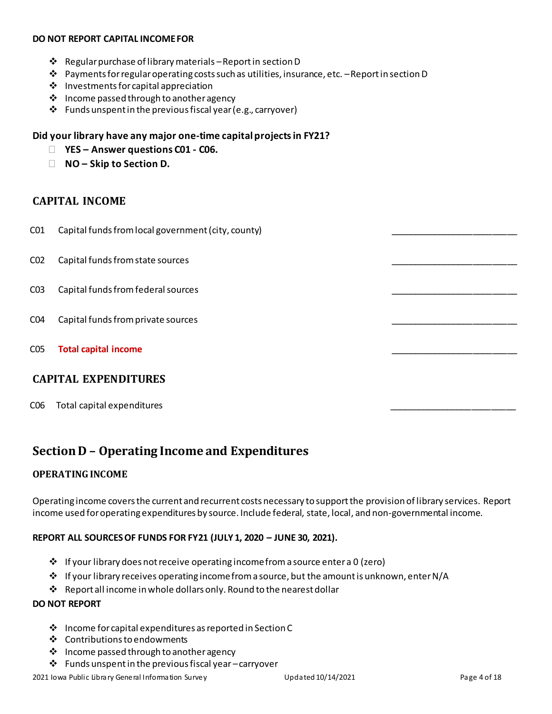#### **DO NOT REPORT CAPITAL INCOMEFOR**

- $\cdot \cdot$  Regular purchase of library materials Report in section D
- ❖ Payments for regular operating costs such as utilities, insurance, etc. –Report in section D
- ❖ Investments for capital appreciation
- ❖ Income passed through to another agency
- $\mathbf{\hat{P}}$  Funds unspent in the previous fiscal year (e.g., carryover)

### **Did your library have any major one-time capital projects in FY21?**

- **YES – Answer questions C01 - C06.**
- **NO – Skip to Section D.**

### **CAPITAL INCOME**

- C01 Capital funds from local government (city, county)
- C02 Capital funds from state sources
- C03 Capital funds from federal sources
- C04 Capital funds from private sources
- C05 **Total capital income**

### **CAPITAL EXPENDITURES**

C06 Total capital expenditures

## **Section D – Operating Income and Expenditures**

### **OPERATING INCOME**

Operating income covers the current and recurrent costs necessary to support the provision of library services. Report income used for operating expenditures by source. Include federal, state, local, and non-governmental income.

### **REPORT ALL SOURCES OF FUNDS FOR FY21 (JULY 1, 2020 – JUNE 30, 2021).**

- ❖ If your library does not receive operating income from a source enter a 0 (zero)
- $\diamond$  If your library receives operating income from a source, but the amount is unknown, enter N/A
- ❖ Report all income in whole dollars only. Round to the nearest dollar

### **DO NOT REPORT**

- $\clubsuit$  Income for capital expenditures as reported in Section C
- ❖ Contributions to endowments
- ❖ Income passed through to another agency
- ❖ Funds unspent in the previous fiscal year –carryover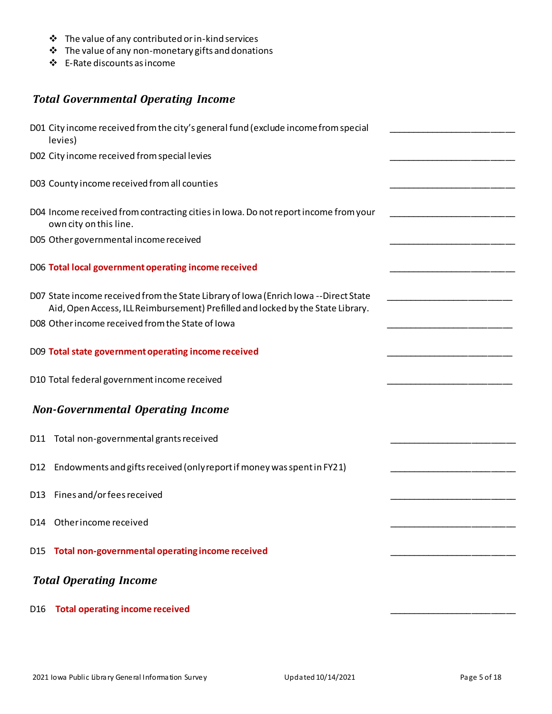- ❖ The value of any contributed or in-kind services
- ❖ The value of any non-monetary gifts and donations
- ❖ E-Rate discounts as income

### *Total Governmental Operating Income*

|                 | D01 City income received from the city's general fund (exclude income from special<br>levies)                                                                           |  |
|-----------------|-------------------------------------------------------------------------------------------------------------------------------------------------------------------------|--|
|                 | D02 City income received from special levies                                                                                                                            |  |
|                 | D03 County income received from all counties                                                                                                                            |  |
|                 | D04 Income received from contracting cities in Iowa. Do not report income from your<br>own city on this line.                                                           |  |
|                 | D05 Other governmental income received                                                                                                                                  |  |
|                 | D06 Total local government operating income received                                                                                                                    |  |
|                 | D07 State income received from the State Library of Iowa (Enrich Iowa --Direct State<br>Aid, Open Access, ILL Reimbursement) Prefilled and locked by the State Library. |  |
|                 | D08 Other income received from the State of Iowa                                                                                                                        |  |
|                 | D09 Total state government operating income received                                                                                                                    |  |
|                 | D10 Total federal government income received                                                                                                                            |  |
|                 | <b>Non-Governmental Operating Income</b>                                                                                                                                |  |
|                 | D11 Total non-governmental grants received                                                                                                                              |  |
| D <sub>12</sub> | Endowments and gifts received (only report if money was spent in FY21)                                                                                                  |  |
| D <sub>13</sub> | Fines and/or fees received                                                                                                                                              |  |
|                 | D14 Other income received                                                                                                                                               |  |
|                 | D15 Total non-governmental operating income received                                                                                                                    |  |
|                 | <b>Total Operating Income</b>                                                                                                                                           |  |
| D16             | <b>Total operating income received</b>                                                                                                                                  |  |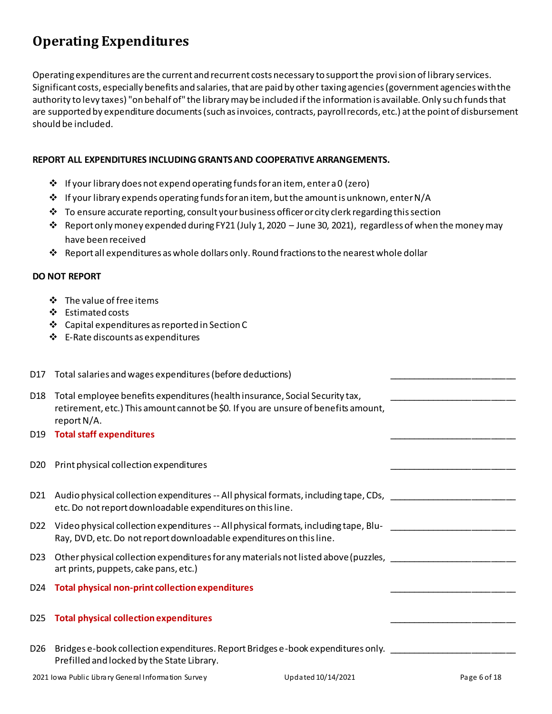# **Operating Expenditures**

Operating expenditures are the current and recurrent costs necessary to support the provision of library services. Significant costs, especially benefits and salaries, that are paid by other taxing agencies (government agencies with the authority to levy taxes) "on behalf of" the library may be included if the information is available. Only such funds that are supported by expenditure documents (such as invoices, contracts, payroll records, etc.) at the point of disbursement should be included.

### **REPORT ALL EXPENDITURES INCLUDING GRANTS AND COOPERATIVE ARRANGEMENTS.**

- ❖ If your library does not expend operating funds for an item, enter a 0 (zero)
- $\diamond$  If your library expends operating funds for an item, but the amount is unknown, enter N/A
- $\div$  To ensure accurate reporting, consult your business officer or city clerk regarding this section
- ❖ Report only money expended during FY21 (July 1, 2020 June 30, 2021), regardless of when the money may have been received
- ❖ Report all expenditures as whole dollars only. Round fractions to the nearest whole dollar

### **DO NOT REPORT**

- ❖ The value of free items
- ❖ Estimated costs
- ❖ Capital expenditures as reported in Section C
- ❖ E-Rate discounts as expenditures

| D17 Total salaries and wages expenditures (before deductions)                                                                                                                     |  |
|-----------------------------------------------------------------------------------------------------------------------------------------------------------------------------------|--|
| Total employee benefits expenditures (health insurance, Social Security tax,<br>retirement, etc.) This amount cannot be \$0. If you are unsure of benefits amount,<br>report N/A. |  |
| D19 Total staff expenditures                                                                                                                                                      |  |
| D20 Print physical collection expenditures                                                                                                                                        |  |
| D21 Audio physical collection expenditures -- All physical formats, including tape, CDs,<br>etc. Do not report downloadable expenditures on this line.                            |  |
| D22 Video physical collection expenditures -- All physical formats, including tape, Blu-<br>Ray, DVD, etc. Do not report downloadable expenditures on this line.                  |  |
| Other physical collection expenditures for any materials not listed above (puzzles, ___<br>art prints, puppets, cake pans, etc.)                                                  |  |
| D24 Total physical non-print collection expenditures                                                                                                                              |  |
| D25 Total physical collection expenditures                                                                                                                                        |  |
| Bridges e-book collection expenditures. Report Bridges e-book expenditures only.<br>Prefilled and locked by the State Library.                                                    |  |
|                                                                                                                                                                                   |  |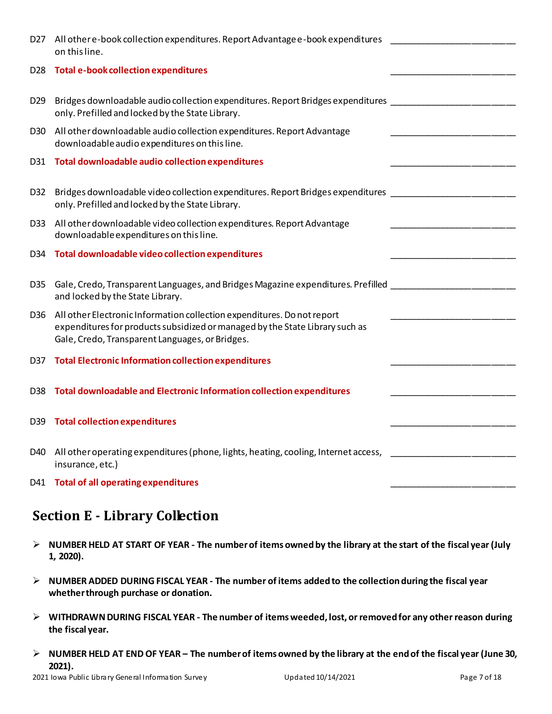| D <sub>27</sub> | All other e-book collection expenditures. Report Advantage e-book expenditures<br>on this line.                                                                                                                                                                                   |  |
|-----------------|-----------------------------------------------------------------------------------------------------------------------------------------------------------------------------------------------------------------------------------------------------------------------------------|--|
| D <sub>28</sub> | <b>Total e-book collection expenditures</b>                                                                                                                                                                                                                                       |  |
| D <sub>29</sub> | Bridges downloadable audio collection expenditures. Report Bridges expenditures [188] [188] [188] Bridges downloadable audio collection expenditures. [188] [188] [188] [188] [188] [188] [188] [188] [188] [188] [188] [188]<br>only. Prefilled and locked by the State Library. |  |
| D <sub>30</sub> | All other downloadable audio collection expenditures. Report Advantage<br>downloadable audio expenditures on this line.                                                                                                                                                           |  |
|                 | D31 Total downloadable audio collection expenditures                                                                                                                                                                                                                              |  |
| D32             | Bridges downloadable video collection expenditures. Report Bridges expenditures ____________________<br>only. Prefilled and locked by the State Library.                                                                                                                          |  |
| D <sub>33</sub> | All other downloadable video collection expenditures. Report Advantage<br>downloadable expenditures on this line.                                                                                                                                                                 |  |
| D34             | Total downloadable video collection expenditures                                                                                                                                                                                                                                  |  |
| D35             | Gale, Credo, Transparent Languages, and Bridges Magazine expenditures. Prefilled<br>and locked by the State Library.                                                                                                                                                              |  |
| D <sub>36</sub> | All other Electronic Information collection expenditures. Do not report<br>expenditures for products subsidized or managed by the State Library such as<br>Gale, Credo, Transparent Languages, or Bridges.                                                                        |  |
| D37             | <b>Total Electronic Information collection expenditures</b>                                                                                                                                                                                                                       |  |
| D38             | Total downloadable and Electronic Information collection expenditures                                                                                                                                                                                                             |  |
| D39             | <b>Total collection expenditures</b>                                                                                                                                                                                                                                              |  |
| D40             | All other operating expenditures (phone, lights, heating, cooling, Internet access,<br>insurance, etc.)                                                                                                                                                                           |  |
|                 | D41 Total of all operating expenditures                                                                                                                                                                                                                                           |  |

# **Section E - Library Collection**

- ➢ **NUMBER HELD AT START OF YEAR - The number of items owned by the library at the start of the fiscal year (July 1, 2020).**
- ➢ **NUMBER ADDED DURING FISCAL YEAR - The number of items added to the collection during the fiscal year whether through purchase or donation.**
- ➢ **WITHDRAWN DURING FISCAL YEAR - The number of itemsweeded, lost, or removed for any other reason during the fiscal year.**
- ➢ **NUMBER HELD AT END OF YEAR – The number of items owned by the library at the end of the fiscal year (June 30, 2021).**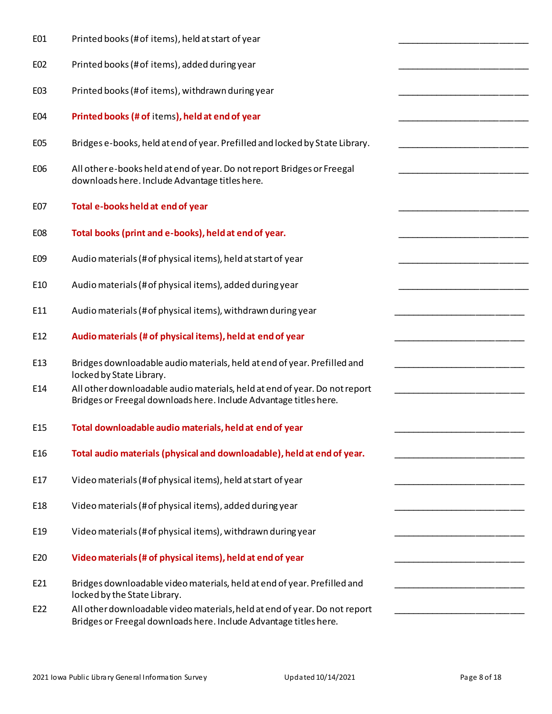| E01             | Printed books (# of items), held at start of year                                                                                               |
|-----------------|-------------------------------------------------------------------------------------------------------------------------------------------------|
| E02             | Printed books (# of items), added during year                                                                                                   |
| E03             | Printed books (# of items), withdrawn during year                                                                                               |
| E04             | Printed books (# of items), held at end of year                                                                                                 |
| E05             | Bridges e-books, held at end of year. Prefilled and locked by State Library.                                                                    |
| E06             | All other e-books held at end of year. Do not report Bridges or Freegal<br>downloads here. Include Advantage titles here.                       |
| E07             | Total e-books held at end of year                                                                                                               |
| E08             | Total books (print and e-books), held at end of year.                                                                                           |
| E09             | Audio materials (# of physical items), held at start of year                                                                                    |
| E10             | Audio materials (# of physical items), added during year                                                                                        |
| E11             | Audio materials (# of physical items), withdrawn during year                                                                                    |
| E12             | Audio materials (# of physical items), held at end of year                                                                                      |
| E13             | Bridges downloadable audio materials, held at end of year. Prefilled and<br>locked by State Library.                                            |
| E14             | All other downloadable audio materials, held at end of year. Do not report<br>Bridges or Freegal downloads here. Include Advantage titles here. |
| E15             | Total downloadable audio materials, held at end of year                                                                                         |
| E <sub>16</sub> | Total audio materials (physical and downloadable), held at end of year.                                                                         |
| E17             | Video materials (# of physical items), held at start of year                                                                                    |
| E <sub>18</sub> | Video materials (# of physical items), added during year                                                                                        |
| E <sub>19</sub> | Video materials (# of physical items), withdrawn during year                                                                                    |
| E20             | Video materials (# of physical items), held at end of year                                                                                      |
| E21             | Bridges downloadable video materials, held at end of year. Prefilled and<br>locked by the State Library.                                        |
| E22             | All other downloadable video materials, held at end of year. Do not report<br>Bridges or Freegal downloads here. Include Advantage titles here. |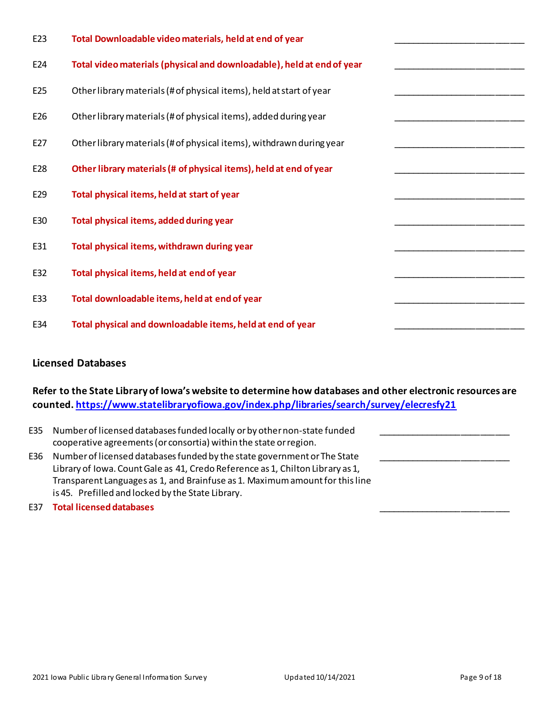| E23 | Total Downloadable video materials, held at end of year                |
|-----|------------------------------------------------------------------------|
| E24 | Total video materials (physical and downloadable), held at end of year |
| E25 | Other library materials (# of physical items), held at start of year   |
| E26 | Other library materials (# of physical items), added during year       |
| E27 | Other library materials (# of physical items), withdrawn during year   |
| E28 | Other library materials (# of physical items), held at end of year     |
| E29 | Total physical items, held at start of year                            |
| E30 | Total physical items, added during year                                |
| E31 | Total physical items, withdrawn during year                            |
| E32 | Total physical items, held at end of year                              |
| E33 | Total downloadable items, held at end of year                          |
| E34 | Total physical and downloadable items, held at end of year             |

### **Licensed Databases**

**Refer to the State Library of Iowa's website to determine how databases and other electronic resources are counted[. https://www.statelibraryofiowa.gov/index.php/libraries/search/survey/elecresfy21](https://www.statelibraryofiowa.gov/index.php/libraries/search/survey/elecresfy21)**

| E35 | Number of licensed databases funded locally or by other non-state funded<br>cooperative agreements (or consortia) within the state or region.                                                                                                                                                   |
|-----|-------------------------------------------------------------------------------------------------------------------------------------------------------------------------------------------------------------------------------------------------------------------------------------------------|
| E36 | Number of licensed databases funded by the state government or The State<br>Library of Iowa. Count Gale as 41, Credo Reference as 1, Chilton Library as 1,<br>Transparent Languages as 1, and Brainfuse as 1. Maximum amount for this line<br>is 45. Prefilled and locked by the State Library. |
|     |                                                                                                                                                                                                                                                                                                 |

E37 **Total licensed databases** \_\_\_\_\_\_\_\_\_\_\_\_\_\_\_\_\_\_\_\_\_\_\_\_\_\_\_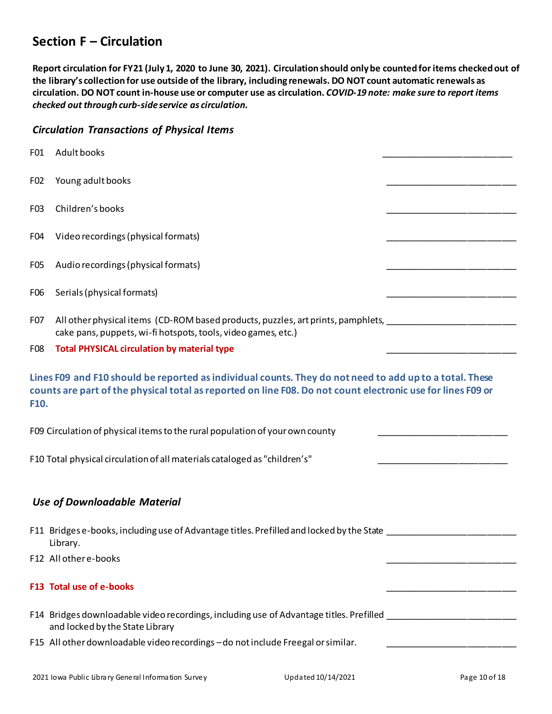## **Section F – Circulation**

**Report circulation for FY21 (July 1, 2020 to June 30, 2021). Circulation should only be counted for items checked out of the library's collection for use outside of the library, including renewals. DO NOT count automatic renewals as circulation. DO NOT count in-house use or computer use as circulation.** *COVID-19 note: make sure to report items checked out through curb-side service as circulation.*

### *Circulation Transactions of Physical Items*

| F01             | Adult books                                                                                                                                                                                                            |  |
|-----------------|------------------------------------------------------------------------------------------------------------------------------------------------------------------------------------------------------------------------|--|
| F <sub>02</sub> | Young adult books                                                                                                                                                                                                      |  |
| F03             | Children's books                                                                                                                                                                                                       |  |
| F04             | Video recordings (physical formats)                                                                                                                                                                                    |  |
| F05             | Audio recordings (physical formats)                                                                                                                                                                                    |  |
| F <sub>06</sub> | Serials (physical formats)                                                                                                                                                                                             |  |
| F07             | All other physical items (CD-ROM based products, puzzles, art prints, pamphlets, 1986) 1996. The manner of the<br>cake pans, puppets, wi-fi hotspots, tools, video games, etc.)                                        |  |
| F08             | <b>Total PHYSICAL circulation by material type</b>                                                                                                                                                                     |  |
| F10.            | Lines F09 and F10 should be reported as individual counts. They do not need to add up to a total. These<br>counts are part of the physical total as reported on line F08. Do not count electronic use for lines F09 or |  |
|                 | F09 Circulation of physical items to the rural population of your own county                                                                                                                                           |  |
|                 | F10 Total physical circulation of all materials cataloged as "children's"                                                                                                                                              |  |
|                 | <b>Use of Downloadable Material</b>                                                                                                                                                                                    |  |
|                 | F11 Bridges e-books, including use of Advantage titles. Prefilled and locked by the State ____<br>Library.                                                                                                             |  |
|                 | F12 All other e-books                                                                                                                                                                                                  |  |
|                 | F13 Total use of e-books                                                                                                                                                                                               |  |
|                 | F14 Bridges downloadable video recordings, including use of Advantage titles. Prefilled ______________________<br>and locked by the State Library                                                                      |  |
|                 | F15 All other downloadable video recordings - do not include Freegal or similar.                                                                                                                                       |  |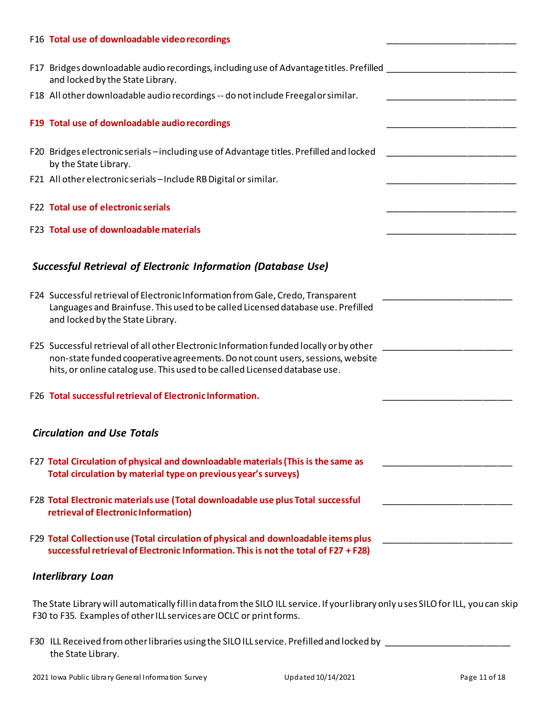#### F16 **Total use of downloadable video recordings**

|                                                                                                                                                     | F17 Bridges downloadable audio recordings, including use of Advantage titles. Prefilled  |  |
|-----------------------------------------------------------------------------------------------------------------------------------------------------|------------------------------------------------------------------------------------------|--|
| and locked by the State Library.                                                                                                                    |                                                                                          |  |
| F18 All other downloadable audio recordings -- do not include Freegal or similar.                                                                   |                                                                                          |  |
| F19 Total use of downloadable audio recordings                                                                                                      |                                                                                          |  |
| by the State Library.                                                                                                                               | F20 Bridges electronic serials - including use of Advantage titles. Prefilled and locked |  |
| F21 All other electronic serials - Include RB Digital or similar.                                                                                   |                                                                                          |  |
| F22 Total use of electronic serials                                                                                                                 |                                                                                          |  |
| F23 Total use of downloadable materials                                                                                                             |                                                                                          |  |
|                                                                                                                                                     |                                                                                          |  |
| <b>Successful Retrieval of Electronic Information (Database Use)</b>                                                                                |                                                                                          |  |
|                                                                                                                                                     |                                                                                          |  |
| F24 Successful retrieval of Electronic Information from Gale, Credo, Transparent<br>and locked by the State Library.                                | Languages and Brainfuse. This used to be called Licensed database use. Prefilled         |  |
|                                                                                                                                                     | F25 Successful retrieval of all other Electronic Information funded locally or by other  |  |
| hits, or online catalog use. This used to be called Licensed database use.                                                                          | non-state funded cooperative agreements. Do not count users, sessions, website           |  |
| F26 Total successful retrieval of Electronic Information.                                                                                           |                                                                                          |  |
|                                                                                                                                                     |                                                                                          |  |
| <b>Circulation and Use Totals</b>                                                                                                                   |                                                                                          |  |
| F27 Total Circulation of physical and downloadable materials (This is the same as<br>Total circulation by material type on previous year's surveys) |                                                                                          |  |
| F28 Total Electronic materials use (Total downloadable use plus Total successful                                                                    |                                                                                          |  |
| retrieval of Electronic Information)                                                                                                                |                                                                                          |  |
| F29 Total Collection use (Total circulation of physical and downloadable items plus                                                                 |                                                                                          |  |
|                                                                                                                                                     | successful retrieval of Electronic Information. This is not the total of F27 + F28)      |  |
|                                                                                                                                                     |                                                                                          |  |

### *Interlibrary Loan*

The State Library will automatically fill in data from the SILO ILL service. If your library only uses SILO for ILL, you can skip F30 to F35. Examples of other ILL services are OCLC or print forms.

F30 ILL Received from other libraries using the SILO ILL service. Prefilled and locked by \_\_\_\_\_\_\_\_\_\_\_\_\_\_\_\_\_\_\_\_\_\_\_\_\_\_the State Library.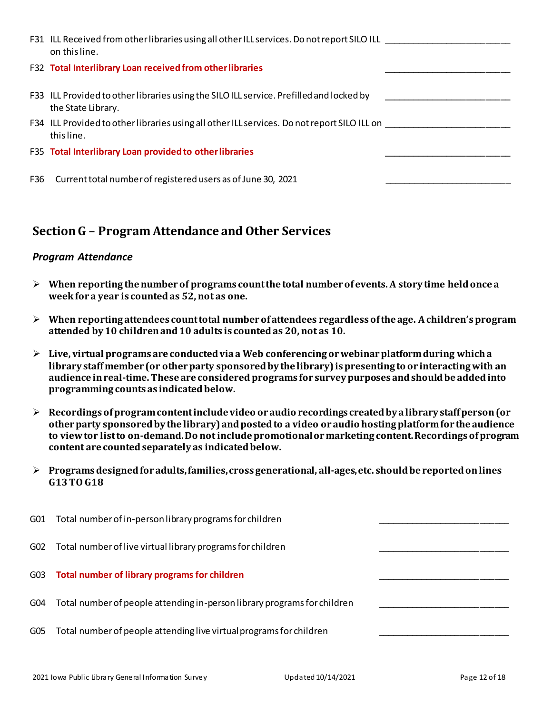|     | F31 ILL Received from other libraries using all other ILL services. Do not report SILO ILL<br>on this line.   |  |
|-----|---------------------------------------------------------------------------------------------------------------|--|
|     | F32 Total Interlibrary Loan received from other libraries                                                     |  |
|     | F33 ILL Provided to other libraries using the SILO ILL service. Prefilled and locked by<br>the State Library. |  |
|     | F34 ILL Provided to other libraries using all other ILL services. Do not report SILO ILL on<br>this line.     |  |
|     | F35 Total Interlibrary Loan provided to other libraries                                                       |  |
| F36 | Current total number of registered users as of June 30, 2021                                                  |  |

## **Section G – Program Attendance and Other Services**

### *Program Attendance*

- ➢ **When reporting the number of programs count the total number of events. A story time held once a week for a year is counted as 52, not as one.**
- ➢ **When reporting attendees count total number of attendees regardless of the age. A children's program attended by10 children and 10 adults is countedas 20, not as 10.**
- ➢ **Live, virtual programs are conducted via a Web conferencing or webinar platform during whicha library staff member (or other party sponsored by the library) is presenting to or interacting with an audience in real-time. These are considered programs for survey purposes and should be added into programming counts as indicated below.**
- ➢ **Recordings of program content include video or audio recordings created by a library staff person (or other party sponsored by the library) and posted to a video or audio hosting platform for the audience to view tor list to on-demand. Do not include promotional or marketing content. Recordings of program content are counted separately as indicated below.**
- ➢ **Programs designed for adults, families, cross generational, all-ages, etc. should be reported on lines G13TO G18**

| G01 | Total number of in-person library programs for children                  |  |
|-----|--------------------------------------------------------------------------|--|
| G02 | Total number of live virtual library programs for children               |  |
| G03 | Total number of library programs for children                            |  |
| G04 | Total number of people attending in-person library programs for children |  |
| G05 | Total number of people attending live virtual programs for children      |  |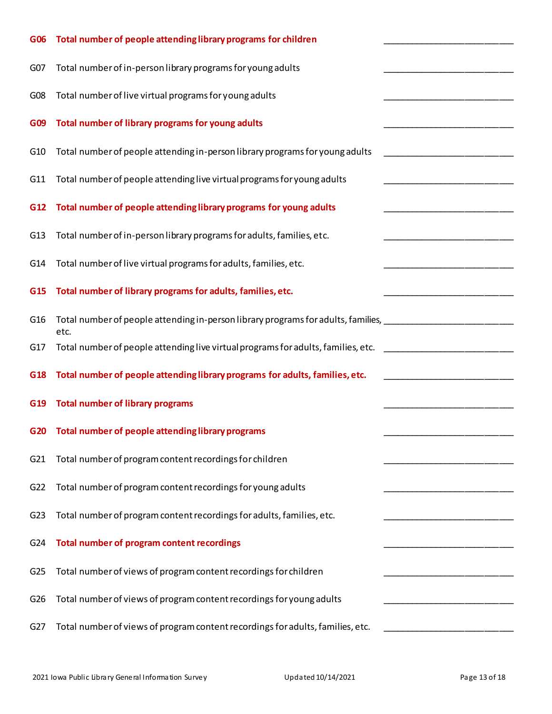| G06             | Total number of people attending library programs for children                                                               |  |
|-----------------|------------------------------------------------------------------------------------------------------------------------------|--|
| G <sub>07</sub> | Total number of in-person library programs for young adults                                                                  |  |
| G08             | Total number of live virtual programs for young adults                                                                       |  |
| G <sub>09</sub> | Total number of library programs for young adults                                                                            |  |
| G <sub>10</sub> | Total number of people attending in-person library programs for young adults                                                 |  |
| G11             | Total number of people attending live virtual programs for young adults                                                      |  |
| G <sub>12</sub> | Total number of people attending library programs for young adults                                                           |  |
| G13             | Total number of in-person library programs for adults, families, etc.                                                        |  |
| G14             | Total number of live virtual programs for adults, families, etc.                                                             |  |
| G <sub>15</sub> | Total number of library programs for adults, families, etc.                                                                  |  |
| G16             | Total number of people attending in-person library programs for adults, families,<br>etc.                                    |  |
| G17             | Total number of people attending live virtual programs for adults, families, etc.<br><u> 1989 - Johann Barbara, martin a</u> |  |
| G18             | Total number of people attending library programs for adults, families, etc.                                                 |  |
| G19             | <b>Total number of library programs</b>                                                                                      |  |
| G20             | Total number of people attending library programs                                                                            |  |
| G21             | Total number of program content recordings for children                                                                      |  |
| G22             | Total number of program content recordings for young adults                                                                  |  |
| G23             | Total number of program content recordings for adults, families, etc.                                                        |  |
| G24             | Total number of program content recordings                                                                                   |  |
| G25             | Total number of views of program content recordings for children                                                             |  |
| G26             | Total number of views of program content recordings for young adults                                                         |  |
| G27             | Total number of views of program content recordings for adults, families, etc.                                               |  |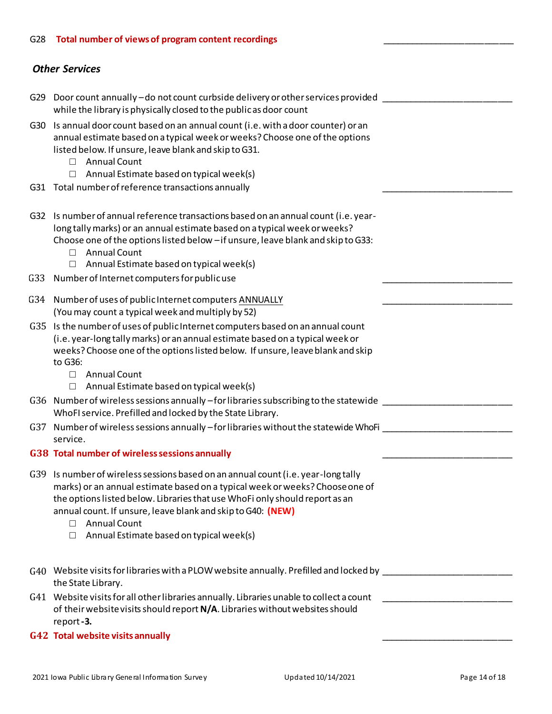### G28 **Total number of views of program content recordings** \_\_\_\_\_\_\_\_\_\_\_\_\_\_\_\_\_\_\_\_\_\_\_\_\_\_\_

### *Other Services*

|     | G29 Door count annually - do not count curbside delivery or other services provided<br>while the library is physically closed to the public as door count                                                                                                                                                                                                                                              |  |
|-----|--------------------------------------------------------------------------------------------------------------------------------------------------------------------------------------------------------------------------------------------------------------------------------------------------------------------------------------------------------------------------------------------------------|--|
| G30 | Is annual door count based on an annual count (i.e. with a door counter) or an<br>annual estimate based on a typical week or weeks? Choose one of the options<br>listed below. If unsure, leave blank and skip to G31.<br><b>Annual Count</b><br>$\Box$<br>Annual Estimate based on typical week(s)<br>$\Box$                                                                                          |  |
|     | G31 Total number of reference transactions annually                                                                                                                                                                                                                                                                                                                                                    |  |
|     | G32 Is number of annual reference transactions based on an annual count (i.e. year-<br>long tally marks) or an annual estimate based on a typical week or weeks?<br>Choose one of the options listed below - if unsure, leave blank and skip to G33:<br><b>Annual Count</b><br>$\Box$                                                                                                                  |  |
| G33 | Annual Estimate based on typical week(s)<br>$\Box$<br>Number of Internet computers for public use                                                                                                                                                                                                                                                                                                      |  |
|     | G34 Number of uses of public Internet computers ANNUALLY<br>(You may count a typical week and multiply by 52)                                                                                                                                                                                                                                                                                          |  |
| G35 | Is the number of uses of public Internet computers based on an annual count<br>(i.e. year-long tally marks) or an annual estimate based on a typical week or<br>weeks? Choose one of the options listed below. If unsure, leave blank and skip<br>to G36:<br><b>Annual Count</b><br>$\Box$                                                                                                             |  |
|     | Annual Estimate based on typical week(s)<br>$\Box$<br>G36 Number of wireless sessions annually -for libraries subscribing to the statewide<br>WhoFI service. Prefilled and locked by the State Library.                                                                                                                                                                                                |  |
|     | G37 Number of wireless sessions annually -for libraries without the statewide WhoFi<br>service.                                                                                                                                                                                                                                                                                                        |  |
|     | G38 Total number of wireless sessions annually                                                                                                                                                                                                                                                                                                                                                         |  |
|     | G39 Is number of wireless sessions based on an annual count (i.e. year-long tally<br>marks) or an annual estimate based on a typical week or weeks? Choose one of<br>the options listed below. Libraries that use WhoFi only should report as an<br>annual count. If unsure, leave blank and skip to G40: (NEW)<br><b>Annual Count</b><br>$\Box$<br>Annual Estimate based on typical week(s)<br>$\Box$ |  |
|     | G40 Website visits for libraries with a PLOW website annually. Prefilled and locked by __________<br>the State Library.                                                                                                                                                                                                                                                                                |  |
|     | G41 Website visits for all other libraries annually. Libraries unable to collect a count<br>of their website visits should report N/A. Libraries without websites should<br>report-3.                                                                                                                                                                                                                  |  |
|     | G42 Total website visits annually                                                                                                                                                                                                                                                                                                                                                                      |  |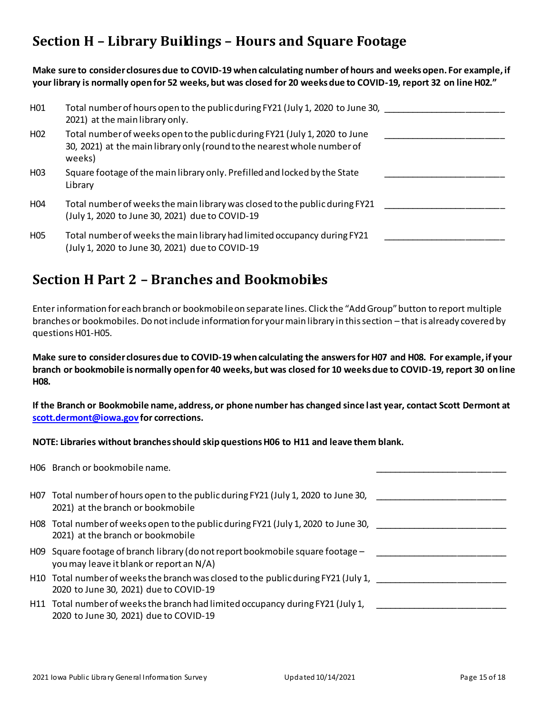# **Section H – Library Buildings – Hours and Square Footage**

**Make sure to consider closures due to COVID-19 when calculating number of hours and weeks open. For example, if your library is normally open for 52 weeks, but was closed for 20 weeks due to COVID-19, report 32 on line H02."**

| H01             | Total number of hours open to the public during FY21 (July 1, 2020 to June 30,<br>2021) at the main library only.                                                |  |
|-----------------|------------------------------------------------------------------------------------------------------------------------------------------------------------------|--|
| H <sub>02</sub> | Total number of weeks open to the public during FY21 (July 1, 2020 to June<br>30, 2021) at the main library only (round to the nearest whole number of<br>weeks) |  |
| H <sub>03</sub> | Square footage of the main library only. Prefilled and locked by the State<br>Library                                                                            |  |
| H <sub>04</sub> | Total number of weeks the main library was closed to the public during FY21<br>(July 1, 2020 to June 30, 2021) due to COVID-19                                   |  |
| H <sub>05</sub> | Total number of weeks the main library had limited occupancy during FY21<br>(July 1, 2020 to June 30, 2021) due to COVID-19                                      |  |

# **Section H Part 2 – Branches and Bookmobiles**

Enter information for each branch or bookmobile on separate lines. Click the "Add Group" button to report multiple branches or bookmobiles. Do not include information for your main library in this section – that is already covered by questions H01-H05.

**Make sure to consider closures due to COVID-19 when calculating the answers for H07 and H08. For example, if your branch or bookmobile is normally open for 40 weeks, but was closed for 10 weeks due to COVID-19, report 30 on line H08.**

**If the Branch or Bookmobile name, address, or phone number has changed since last year, contact Scott Dermont at [scott.dermont@iowa.gov](mailto:scott.dermont@iowa.gov) for corrections.**

**NOTE: Libraries without branches should skip questions H06 to H11 and leave them blank.**

| H06 Branch or bookmobile name.                                                                                               |  |
|------------------------------------------------------------------------------------------------------------------------------|--|
|                                                                                                                              |  |
| H07 Total number of hours open to the public during FY21 (July 1, 2020 to June 30,<br>2021) at the branch or bookmobile      |  |
| H08 Total number of weeks open to the public during FY21 (July 1, 2020 to June 30,<br>2021) at the branch or bookmobile      |  |
| H09 Square footage of branch library (do not report bookmobile square footage -<br>you may leave it blank or report an N/A)  |  |
| H10 Total number of weeks the branch was closed to the public during FY21 (July 1,<br>2020 to June 30, 2021) due to COVID-19 |  |
| H11 Total number of weeks the branch had limited occupancy during FY21 (July 1,<br>2020 to June 30, 2021) due to COVID-19    |  |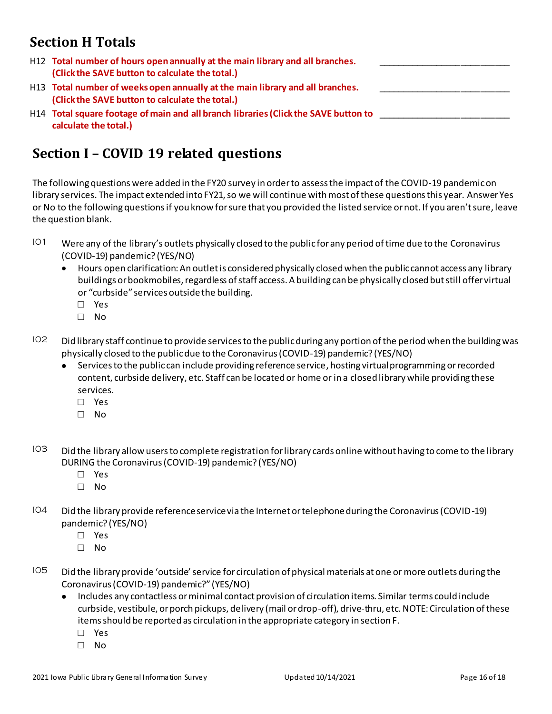# **Section H Totals**

| H12 Total number of hours open annually at the main library and all branches.<br>(Click the SAVE button to calculate the total.) |  |
|----------------------------------------------------------------------------------------------------------------------------------|--|
| H13 Total number of weeks open annually at the main library and all branches.<br>(Click the SAVE button to calculate the total.) |  |
| H14 Total square footage of main and all branch libraries (Click the SAVE button to<br>calculate the total.)                     |  |

# **Section I – COVID 19 related questions**

The following questions were added in the FY20 survey in order to assess the impact of the COVID-19 pandemic on library services. The impact extended into FY21, so we will continue with most of these questions this year. Answer Yes or No to the following questions if you know for sure that you provided the listed service or not. If you aren't sure, leave the question blank.

- IO1 Were any of the library's outlets physically closed to the public for any period of time due to the Coronavirus (COVID-19) pandemic? (YES/NO)
	- Hours open clarification: An outlet is considered physically closed when the public cannot access any library buildings or bookmobiles, regardless of staff access. A building can be physically closed but still offer virtual or "curbside" services outside the building.
		- **□** Yes
		- **□** No
- IO2 Did library staff continue to provide services to the public during any portion of the period when the building was physically closed to the public due to the Coronavirus (COVID-19) pandemic? (YES/NO)
	- Services to the public can include providing reference service, hosting virtual programming or recorded content, curbside delivery, etc. Staff can be located or home or in a closed library while providing these services.
		- **□** Yes
		- **□** No
- $103$  Did the library allow users to complete registration for library cards online without having to come to the library DURING the Coronavirus (COVID-19) pandemic? (YES/NO)
	- **□** Yes
	- **□** No
- I04 Did the library provide reference service via the Internet or telephone during the Coronavirus (COVID-19) pandemic? (YES/NO)
	- **□** Yes
	- **□** No
- IO5 Did the library provide 'outside' service for circulation of physical materials at one or more outlets during the Coronavirus (COVID-19) pandemic?" (YES/NO)
	- Includes any contactless or minimal contact provision of circulation items. Similar terms could include curbside, vestibule, or porch pickups, delivery (mail or drop-off), drive-thru, etc. NOTE: Circulation of these items should be reported as circulation in the appropriate category in section F.
		- **□** Yes
		- **□** No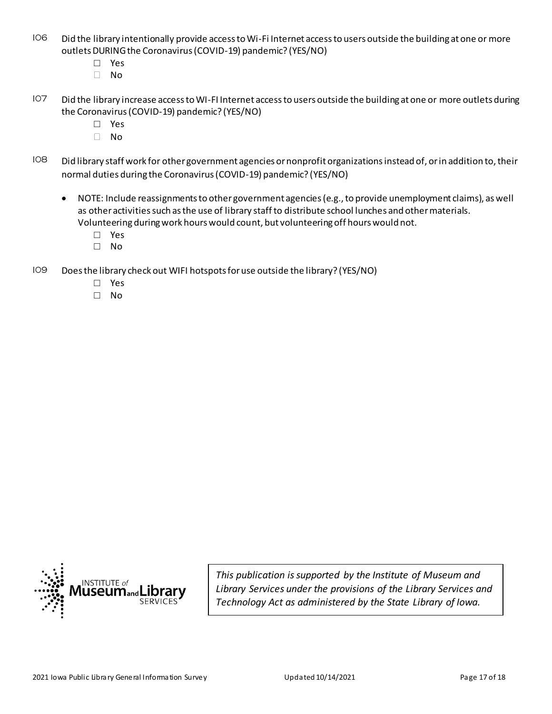- I06 Did the library intentionally provide access to Wi-Fi Internet access to users outside the building at one or more outlets DURING the Coronavirus (COVID-19) pandemic? (YES/NO)
	- **□** Yes
	- No
- I07 Did the library increase access to WI-FI Internet access to users outside the building at one or more outlets during the Coronavirus (COVID-19) pandemic? (YES/NO)
	- **□** Yes
	- No
- IO8 Did library staff work for other government agencies or nonprofit organizations instead of, or in addition to, their normal duties during the Coronavirus (COVID-19) pandemic? (YES/NO)
	- NOTE: Include reassignments to other government agencies (e.g., to provide unemployment claims), as well as other activities such as the use of library staff to distribute school lunches and other materials. Volunteering during work hours would count, but volunteering off hours would not.
		- **□** Yes
		- **□** No
- I09 Does the library check out WIFI hotspots for use outside the library? (YES/NO)
	- **□** Yes
	- **□** No



*This publication is supported by the Institute of Museum and Library Services under the provisions of the Library Services and Technology Act as administered by the State Library of Iowa.*